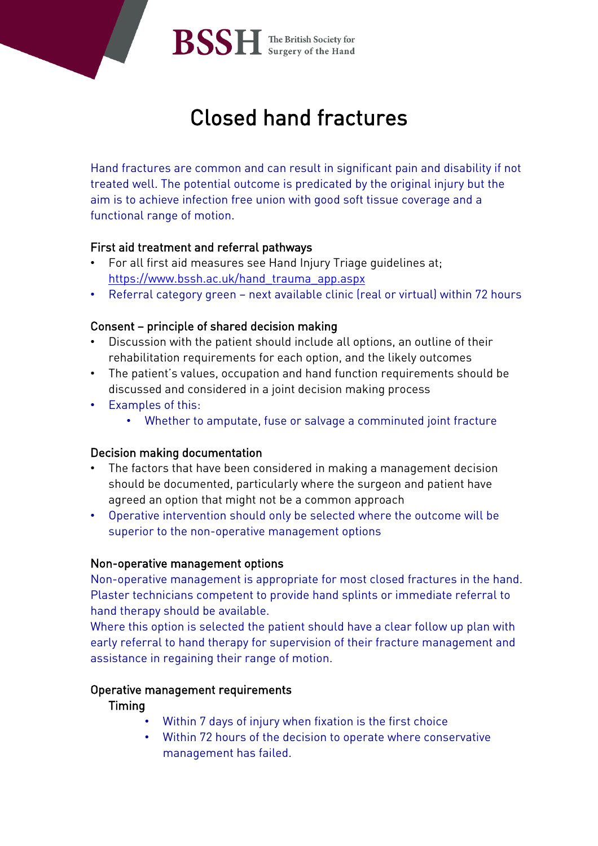

# Closed hand fractures

 Hand fractures are common and can result in significant pain and disability if not treated well. The potential outcome is predicated by the original injury but the aim is to achieve infection free union with good soft tissue coverage and a functional range of motion.

## First aid treatment and referral pathways

- For all first aid measures see Hand Injury Triage guidelines at; [https://www.bssh.ac.uk/hand\\_trauma\\_app.aspx](https://www.bssh.ac.uk/hand_trauma_app.aspx)
- Referral category green next available clinic (real or virtual) within 72 hours

## Consent – principle of shared decision making

- Discussion with the patient should include all options, an outline of their rehabilitation requirements for each option, and the likely outcomes
- The patient's values, occupation and hand function requirements should be discussed and considered in a joint decision making process
- Examples of this:
	- Whether to amputate, fuse or salvage a comminuted joint fracture

# Decision making documentation

- The factors that have been considered in making a management decision should be documented, particularly where the surgeon and patient have agreed an option that might not be a common approach
- Operative intervention should only be selected where the outcome will be superior to the non-operative management options

## Non-operative management options

Non-operative management is appropriate for most closed fractures in the hand. Plaster technicians competent to provide hand splints or immediate referral to hand therapy should be available.

Where this option is selected the patient should have a clear follow up plan with early referral to hand therapy for supervision of their fracture management and assistance in regaining their range of motion.

# Operative management requirements

## Timing

- Within 7 days of injury when fixation is the first choice
- Within 72 hours of the decision to operate where conservative management has failed.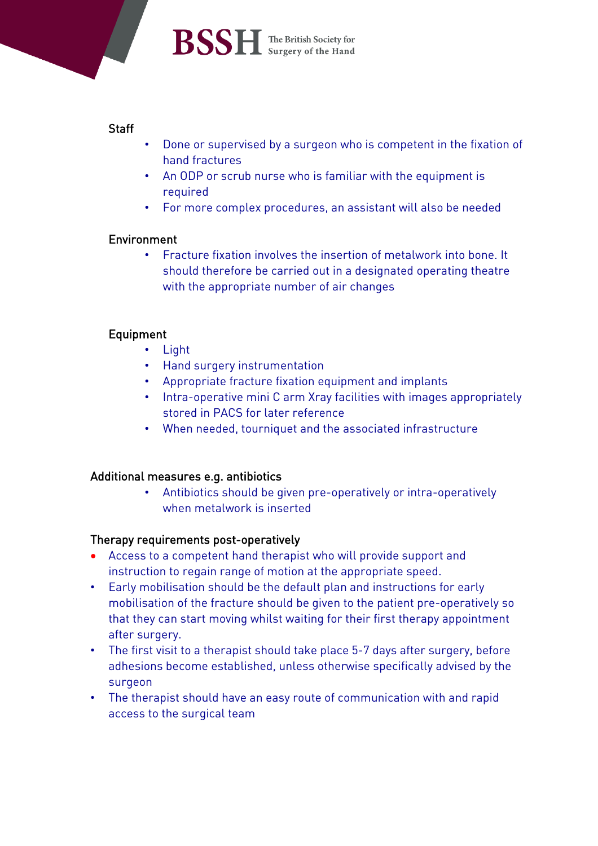

 $\mathbf{BSSH}$  The British Society for

## **Staff**

- Done or supervised by a surgeon who is competent in the fixation of hand fractures
- An ODP or scrub nurse who is familiar with the equipment is required
- For more complex procedures, an assistant will also be needed

# Environment

• Fracture fixation involves the insertion of metalwork into bone. It should therefore be carried out in a designated operating theatre with the appropriate number of air changes

# Equipment

- Light
- Hand surgery instrumentation
- Appropriate fracture fixation equipment and implants
- Intra-operative mini C arm Xray facilities with images appropriately stored in PACS for later reference
- When needed, tourniquet and the associated infrastructure

## Additional measures e.g. antibiotics

• Antibiotics should be given pre-operatively or intra-operatively when metalwork is inserted

## Therapy requirements post-operatively

- Access to a competent hand therapist who will provide support and instruction to regain range of motion at the appropriate speed.
- Early mobilisation should be the default plan and instructions for early mobilisation of the fracture should be given to the patient pre-operatively so that they can start moving whilst waiting for their first therapy appointment after surgery.
- The first visit to a therapist should take place 5-7 days after surgery, before adhesions become established, unless otherwise specifically advised by the surgeon
- The therapist should have an easy route of communication with and rapid access to the surgical team